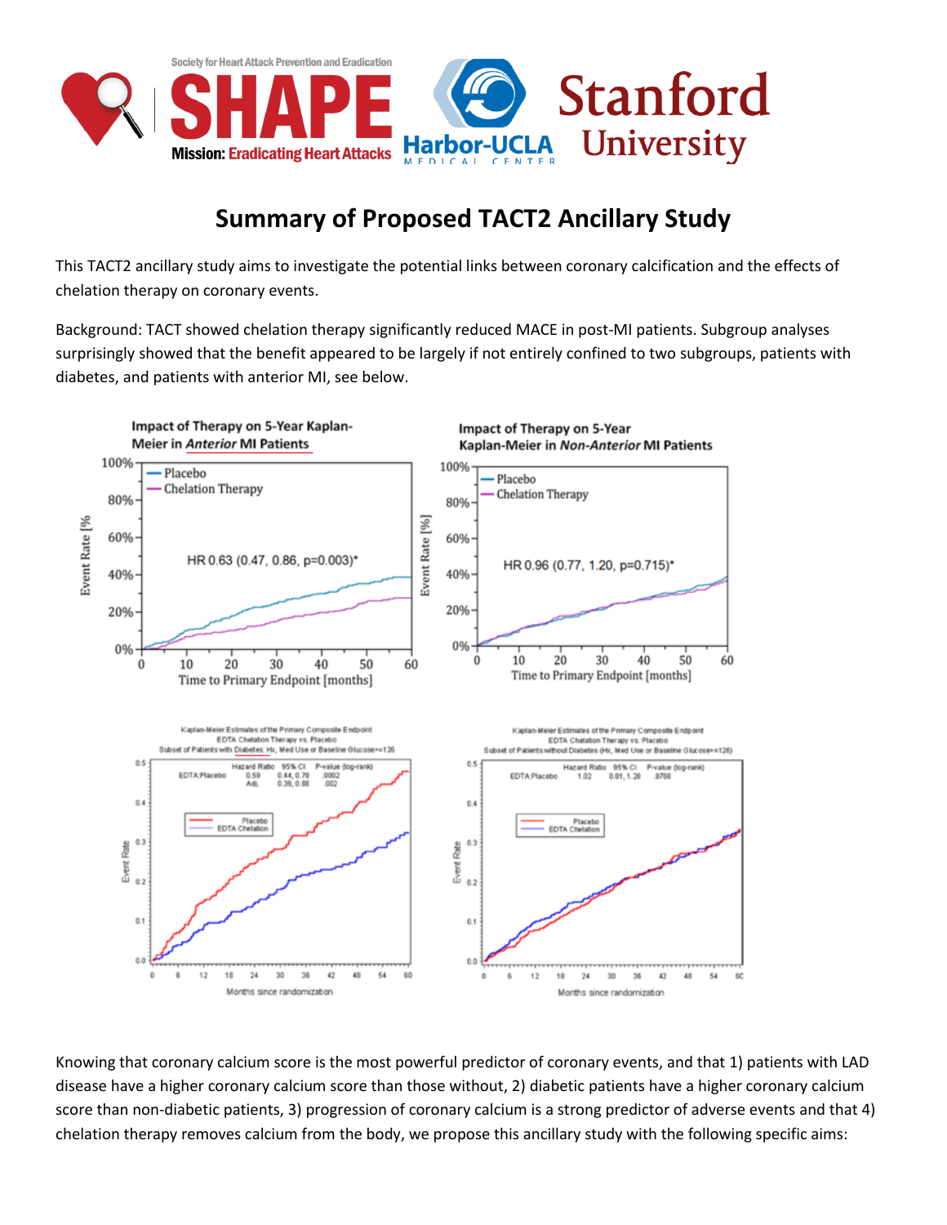

## **Summary of Proposed TACT2 Ancillary Study**

This TACT2 ancillary study aims to investigate the potential links between coronary calcification and the effects of chelation therapy on coronary events.

Background: TACT showed chelation therapy significantly reduced MACE in post-MI patients. Subgroup analyses surprisingly showed that the benefit appeared to be largely if not entirely confined to two subgroups, patients with diabetes, and patients with anterior MI, see below.



Knowing that coronary calcium score is the most powerful predictor of coronary events, and that 1) patients with LAD disease have a higher coronary calcium score than those without, 2) diabetic patients have a higher coronary calcium score than non-diabetic patients, 3) progression of coronary calcium is a strong predictor of adverse events and that 4) chelation therapy removes calcium from the body, we propose this ancillary study with the following specific aims: